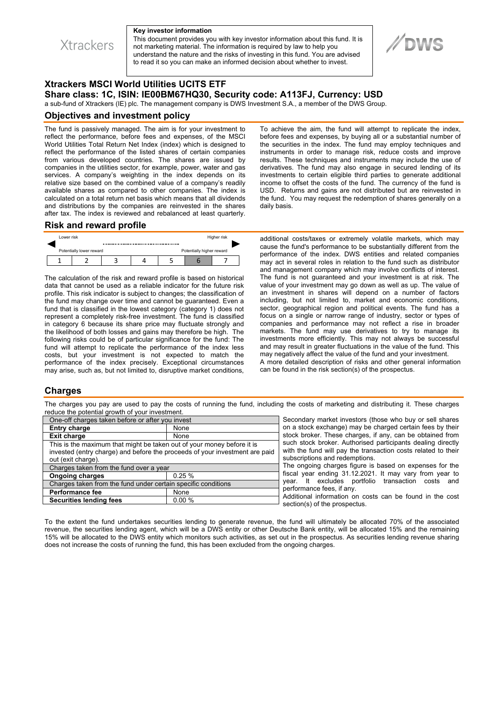

**Xtrackers** 

This document provides you with key investor information about this fund. It is not marketing material. The information is required by law to help you understand the nature and the risks of investing in this fund. You are advised to read it so you can make an informed decision about whether to invest.



# **Xtrackers MSCI World Utilities UCITS ETF Share class: 1C, ISIN: IE00BM67HQ30, Security code: A113FJ, Currency: USD**

a sub-fund of Xtrackers (IE) plc. The management company is DWS Investment S.A., a member of the DWS Group.

#### **Objectives and investment policy**

The fund is passively managed. The aim is for your investment to reflect the performance, before fees and expenses, of the MSCI World Utilities Total Return Net Index (index) which is designed to reflect the performance of the listed shares of certain companies from various developed countries. The shares are issued by companies in the utilities sector, for example, power, water and gas services. A company's weighting in the index depends on its relative size based on the combined value of a company's readily available shares as compared to other companies. The index is calculated on a total return net basis which means that all dividends and distributions by the companies are reinvested in the shares after tax. The index is reviewed and rebalanced at least quarterly.

To achieve the aim, the fund will attempt to replicate the index, before fees and expenses, by buying all or a substantial number of the securities in the index. The fund may employ techniques and instruments in order to manage risk, reduce costs and improve results. These techniques and instruments may include the use of derivatives. The fund may also engage in secured lending of its investments to certain eligible third parties to generate additional income to offset the costs of the fund. The currency of the fund is USD. Returns and gains are not distributed but are reinvested in the fund. You may request the redemption of shares generally on a daily basis.

### **Risk and reward profile**



The calculation of the risk and reward profile is based on historical data that cannot be used as a reliable indicator for the future risk profile. This risk indicator is subject to changes; the classification of the fund may change over time and cannot be guaranteed. Even a fund that is classified in the lowest category (category 1) does not represent a completely risk-free investment. The fund is classified in category 6 because its share price may fluctuate strongly and the likelihood of both losses and gains may therefore be high. The following risks could be of particular significance for the fund: The fund will attempt to replicate the performance of the index less costs, but your investment is not expected to match the performance of the index precisely. Exceptional circumstances may arise, such as, but not limited to, disruptive market conditions,

additional costs/taxes or extremely volatile markets, which may cause the fund's performance to be substantially different from the performance of the index. DWS entities and related companies may act in several roles in relation to the fund such as distributor and management company which may involve conflicts of interest. The fund is not guaranteed and your investment is at risk. The value of your investment may go down as well as up. The value of an investment in shares will depend on a number of factors including, but not limited to, market and economic conditions, sector, geographical region and political events. The fund has a focus on a single or narrow range of industry, sector or types of companies and performance may not reflect a rise in broader markets. The fund may use derivatives to try to manage its investments more efficiently. This may not always be successful and may result in greater fluctuations in the value of the fund. This may negatively affect the value of the fund and your investment. A more detailed description of risks and other general information can be found in the risk section(s) of the prospectus.

## **Charges**

The charges you pay are used to pay the costs of running the fund, including the costs of marketing and distributing it. These charges reduce the potential growth of your investment.

| One-off charges taken before or after you invest                            |       |
|-----------------------------------------------------------------------------|-------|
| <b>Entry charge</b>                                                         | None  |
| <b>Exit charge</b>                                                          | None  |
| This is the maximum that might be taken out of your money before it is      |       |
| invested (entry charge) and before the proceeds of your investment are paid |       |
| out (exit charge).                                                          |       |
| Charges taken from the fund over a year                                     |       |
| <b>Ongoing charges</b>                                                      | 0.25% |
| Charges taken from the fund under certain specific conditions               |       |
| <b>Performance fee</b>                                                      | None  |
| <b>Securities lending fees</b>                                              | 0.00% |

Secondary market investors (those who buy or sell shares on a stock exchange) may be charged certain fees by their stock broker. These charges, if any, can be obtained from such stock broker. Authorised participants dealing directly with the fund will pay the transaction costs related to their subscriptions and redemptions.

The ongoing charges figure is based on expenses for the fiscal year ending 31.12.2021. It may vary from year to year. It excludes portfolio transaction costs and performance fees, if any.

Additional information on costs can be found in the cost section(s) of the prospectus.

To the extent the fund undertakes securities lending to generate revenue, the fund will ultimately be allocated 70% of the associated revenue, the securities lending agent, which will be a DWS entity or other Deutsche Bank entity, will be allocated 15% and the remaining 15% will be allocated to the DWS entity which monitors such activities, as set out in the prospectus. As securities lending revenue sharing does not increase the costs of running the fund, this has been excluded from the ongoing charges.